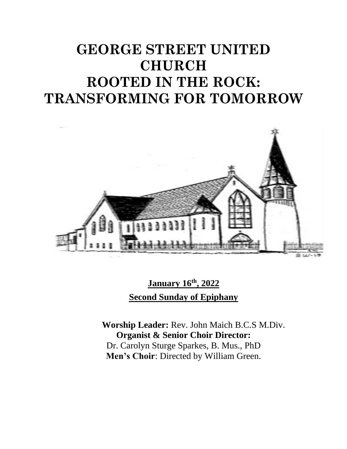# **GEORGE STREET UNITED CHURCH ROOTED IN THE ROCK: TRANSFORMING FOR TOMORROW**



**January 16th , 2022 Second Sunday of Epiphany**

**Worship Leader:** Rev. John Maich B.C.S M.Div. **Organist & Senior Choir Director:**  Dr. Carolyn Sturge Sparkes, B. Mus., PhD **Men's Choir**: Directed by William Green.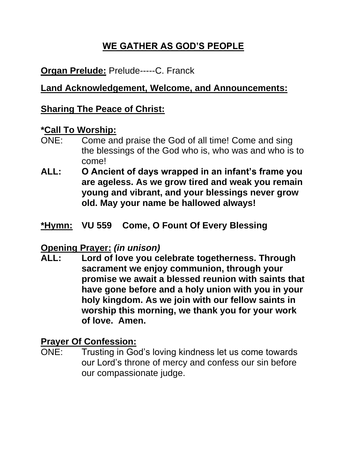# **WE GATHER AS GOD'S PEOPLE**

## **Organ Prelude:** Prelude-----C. Franck

#### **Land Acknowledgement, Welcome, and Announcements:**

#### **Sharing The Peace of Christ:**

#### **\*Call To Worship:**

- ONE: Come and praise the God of all time! Come and sing the blessings of the God who is, who was and who is to come!
- **ALL: O Ancient of days wrapped in an infant's frame you are ageless. As we grow tired and weak you remain young and vibrant, and your blessings never grow old. May your name be hallowed always!**
- **\*Hymn: VU 559 Come, O Fount Of Every Blessing**

#### **Opening Prayer:** *(in unison)*

**ALL: Lord of love you celebrate togetherness. Through sacrament we enjoy communion, through your promise we await a blessed reunion with saints that have gone before and a holy union with you in your holy kingdom. As we join with our fellow saints in worship this morning, we thank you for your work of love. Amen.**

#### **Prayer Of Confession:**

ONE: Trusting in God's loving kindness let us come towards our Lord's throne of mercy and confess our sin before our compassionate judge.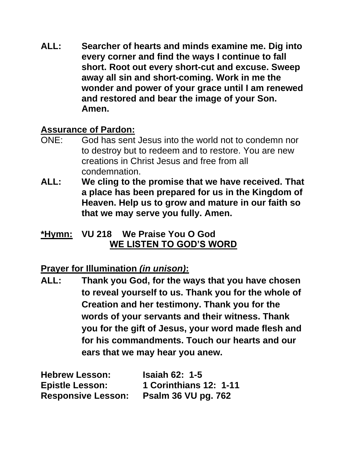**ALL: Searcher of hearts and minds examine me. Dig into every corner and find the ways I continue to fall short. Root out every short-cut and excuse. Sweep away all sin and short-coming. Work in me the wonder and power of your grace until I am renewed and restored and bear the image of your Son. Amen.**

#### **Assurance of Pardon:**

- ONE: God has sent Jesus into the world not to condemn nor to destroy but to redeem and to restore. You are new creations in Christ Jesus and free from all condemnation.
- **ALL: We cling to the promise that we have received. That a place has been prepared for us in the Kingdom of Heaven. Help us to grow and mature in our faith so that we may serve you fully. Amen.**

### **\*Hymn: VU 218 We Praise You O God WE LISTEN TO GOD'S WORD**

## **Prayer for Illumination** *(in unison)***:**

**ALL: Thank you God, for the ways that you have chosen to reveal yourself to us. Thank you for the whole of Creation and her testimony. Thank you for the words of your servants and their witness. Thank you for the gift of Jesus, your word made flesh and for his commandments. Touch our hearts and our ears that we may hear you anew.**

| <b>Hebrew Lesson:</b>     | <b>Isaiah 62: 1-5</b>         |
|---------------------------|-------------------------------|
| <b>Epistle Lesson:</b>    | <b>1 Corinthians 12: 1-11</b> |
| <b>Responsive Lesson:</b> | <b>Psalm 36 VU pg. 762</b>    |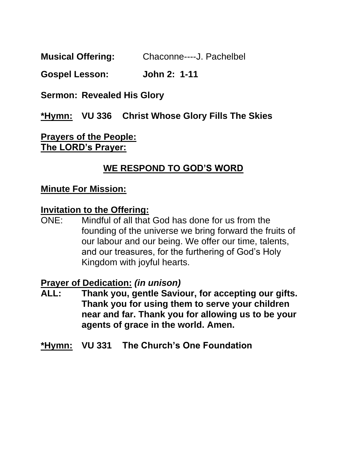**Musical Offering:** Chaconne----J. Pachelbel

**Gospel Lesson: John 2: 1-11**

**Sermon: Revealed His Glory**

**\*Hymn: VU 336 Christ Whose Glory Fills The Skies**

**Prayers of the People: The LORD's Prayer:**

## **WE RESPOND TO GOD'S WORD**

#### **Minute For Mission:**

#### **Invitation to the Offering:**

ONE: Mindful of all that God has done for us from the founding of the universe we bring forward the fruits of our labour and our being. We offer our time, talents, and our treasures, for the furthering of God's Holy Kingdom with joyful hearts.

#### **Prayer of Dedication:** *(in unison)*

- **ALL: Thank you, gentle Saviour, for accepting our gifts. Thank you for using them to serve your children near and far. Thank you for allowing us to be your agents of grace in the world. Amen.**
- **\*Hymn: VU 331 The Church's One Foundation**